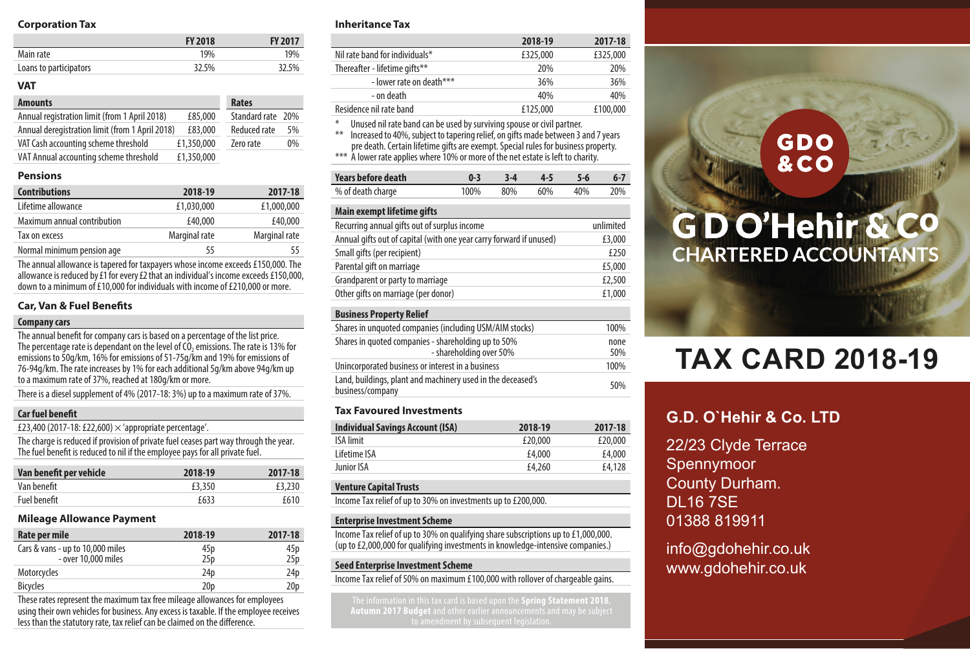### **Corporation Tax**

|                        | <b>FY 2018</b> | <b>FY 2017</b> |
|------------------------|----------------|----------------|
| Main rate              | 19%            | 19%            |
| Loans to participators | 32.5%          | 32.5%          |
|                        |                |                |

### **VAT**

| <b>Amounts</b>                                  |            | Rates               |    |
|-------------------------------------------------|------------|---------------------|----|
| Annual registration limit (from 1 April 2018)   | £85,000    | Standard rate 20%   |    |
| Annual deregistration limit (from 1 April 2018) | £83,000    | <b>Reduced rate</b> | 5% |
| VAT Cash accounting scheme threshold            | £1.350.000 | Zero rate           | 0% |
| VAT Annual accounting scheme threshold          | £1.350.000 |                     |    |

### **Pensions**

| <b>Contributions</b>        | 2018-19       | 2017-18       |
|-----------------------------|---------------|---------------|
| Lifetime allowance          | £1.030.000    | £1.000.000    |
| Maximum annual contribution | £40,000       | £40,000       |
| Tax on excess               | Marginal rate | Marginal rate |
| Normal minimum pension age  | 55            | 55.           |

The annual allowance is tapered for taxpayers whose income exceeds £150,000. The allowance is reduced by £1 for every £2 that an individual's income exceeds £150,000, down to a minimum of £10,000 for individuals with income of £210,000 or more.

### **Car, Van & Fuel Benefits**

#### **Company cars**

The annual benefit for company cars is based on a percentage of the list price. The percentage rate is dependant on the level of CO<sub>2</sub> emissions. The rate is 13% for emissions to 50g/km, 16% for emissions of 51-75g/km and 19% for emissions of 76-94g/km. The rate increases by 1% for each additional 5g/km above 94g/km up to a maximum rate of 37%, reached at 180g/km or more.

There is a diesel supplement of 4% (2017-18: 3%) up to a maximum rate of 37%.

### **Car fuel benefit**

£23,400 (2017-18: £22,600)  $\times$  'appropriate percentage'.

The charge is reduced if provision of private fuel ceases part way through the year. The fuel benefit is reduced to nil if the employee pays for all private fuel.

| Van benefit per vehicle | 2018-19 | 2017-18 |
|-------------------------|---------|---------|
| Van benefit             | £3,350  | £3,230  |
| Fuel benefit            | f633    | f610    |

### **Mileage Allowance Payment**

| Rate per mile                    | 2018-19         | 2017-18         |
|----------------------------------|-----------------|-----------------|
| Cars & vans - up to 10,000 miles | 45p             | 45p             |
| - over 10.000 miles              | 25 <sub>D</sub> | 25 <sub>D</sub> |
| Motorcycles                      | 24 <sub>D</sub> | 24 <sub>D</sub> |
| <b>Bicycles</b>                  | 20 <sub>D</sub> | 20 <sub>p</sub> |

These rates represent the maximum tax free mileage allowances for employees using their own vehicles for business. Any excess is taxable. If the employee receives less than the statutory rate, tax relief can be claimed on the difference.

### **Inheritance Tax**

|                                                                                                                                                                                                                                                                                                                                                          | 2018-19  | 2017-18  |  |
|----------------------------------------------------------------------------------------------------------------------------------------------------------------------------------------------------------------------------------------------------------------------------------------------------------------------------------------------------------|----------|----------|--|
| Nil rate band for individuals*                                                                                                                                                                                                                                                                                                                           | £325.000 | £325,000 |  |
| Thereafter - lifetime gifts**                                                                                                                                                                                                                                                                                                                            | 20%      | 20%      |  |
| - lower rate on death***                                                                                                                                                                                                                                                                                                                                 | 36%      | 36%      |  |
| - on death                                                                                                                                                                                                                                                                                                                                               | 40%      | 40%      |  |
| Residence nil rate band                                                                                                                                                                                                                                                                                                                                  | £125.000 | £100.000 |  |
| $\ast$<br>Unused nil rate band can be used by surviving spouse or civil partner.<br>Increased to 40%, subject to tapering relief, on gifts made between 3 and 7 years<br>$***$<br>pre death. Certain lifetime gifts are exempt. Special rules for business property.<br>*** A lower rate applies where 10% or more of the net estate is left to charity. |          |          |  |

| Years before death |  | $0.3$ $3.4$ $4.5$ $5.6$ | $6 - 7$ |
|--------------------|--|-------------------------|---------|
| % of death charge  |  | 100% 80% 60% 40% 20%    |         |

### **Main exempt lifetime gifts**

| Recurring annual gifts out of surplus income                        | unlimited |
|---------------------------------------------------------------------|-----------|
| Annual gifts out of capital (with one year carry forward if unused) | £3,000    |
| Small gifts (per recipient)                                         | £250      |
| Parental gift on marriage                                           | £5,000    |
| Grandparent or party to marriage                                    | £2.500    |
| Other gifts on marriage (per donor)                                 | £1.000    |

### **Business Property Relief**

| Shares in unquoted companies (including USM/AIM stocks)                         | 100%        |
|---------------------------------------------------------------------------------|-------------|
| Shares in quoted companies - shareholding up to 50%<br>- shareholding over 50%  | none<br>50% |
| Unincorporated business or interest in a business                               | 100%        |
| Land, buildings, plant and machinery used in the deceased's<br>business/company | 50%         |
|                                                                                 |             |

### **Tax Favoured Investments**

| <b>Individual Savings Account (ISA)</b> | 2018-19 | 2017-18 |
|-----------------------------------------|---------|---------|
| ISA limit                               | £20.000 | £20,000 |
| Lifetime ISA                            | £4.000  | £4.000  |
| Junior ISA                              | £4,260  | £4.128  |

### **Venture Capital Trusts**

Income Tax relief of up to 30% on investments up to £200,000.

### **Enterprise Investment Scheme**

Income Tax relief of up to 30% on qualifying share subscriptions up to £1,000,000. (up to £2,000,000 for qualifying investments in knowledge-intensive companies.)

### **Seed Enterprise Investment Scheme**

Income Tax relief of 50% on maximum £100,000 with rollover of chargeable gains.

### **GDO &CO**

## GD O'Hehir & Co **CHARTERED ACCOUNTANTS**

# **TAX CARD 2018-19**

### **G.D. O`Hehir & Co. LTD**

22/23 Clyde Terrace Spennymoor County Durham. DL16 7SE 01388 819911

info@gdohehir.co.uk www.gdohehir.co.uk